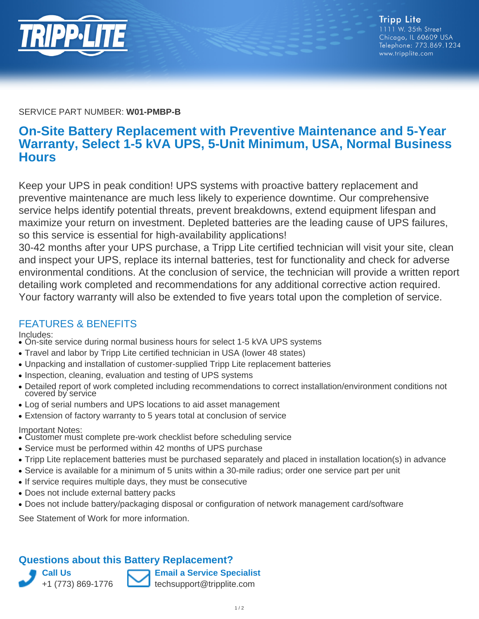

SERVICE PART NUMBER: **W01-PMBP-B**

# **On-Site Battery Replacement with Preventive Maintenance and 5-Year Warranty, Select 1-5 kVA UPS, 5-Unit Minimum, USA, Normal Business Hours**

Keep your UPS in peak condition! UPS systems with proactive battery replacement and preventive maintenance are much less likely to experience downtime. Our comprehensive service helps identify potential threats, prevent breakdowns, extend equipment lifespan and maximize your return on investment. Depleted batteries are the leading cause of UPS failures, so this service is essential for high-availability applications!

30-42 months after your UPS purchase, a Tripp Lite certified technician will visit your site, clean and inspect your UPS, replace its internal batteries, test for functionality and check for adverse environmental conditions. At the conclusion of service, the technician will provide a written report detailing work completed and recommendations for any additional corrective action required. Your factory warranty will also be extended to five years total upon the completion of service.

### FEATURES & BENEFITS

Includes:

- On-site service during normal business hours for select 1-5 kVA UPS systems
- Travel and labor by Tripp Lite certified technician in USA (lower 48 states)
- Unpacking and installation of customer-supplied Tripp Lite replacement batteries
- Inspection, cleaning, evaluation and testing of UPS systems
- Detailed report of work completed including recommendations to correct installation/environment conditions not covered by service
- Log of serial numbers and UPS locations to aid asset management
- Extension of factory warranty to 5 years total at conclusion of service

#### Important Notes:

- Customer must complete pre-work checklist before scheduling service
- Service must be performed within 42 months of UPS purchase
- Tripp Lite replacement batteries must be purchased separately and placed in installation location(s) in advance
- Service is available for a minimum of 5 units within a 30-mile radius; order one service part per unit
- If service requires multiple days, they must be consecutive
- Does not include external battery packs
- Does not include battery/packaging disposal or configuration of network management card/software

See Statement of Work for more information.

### **Questions about this Battery Replacement?**



**Email a Service Specialist** techsupport@tripplite.com